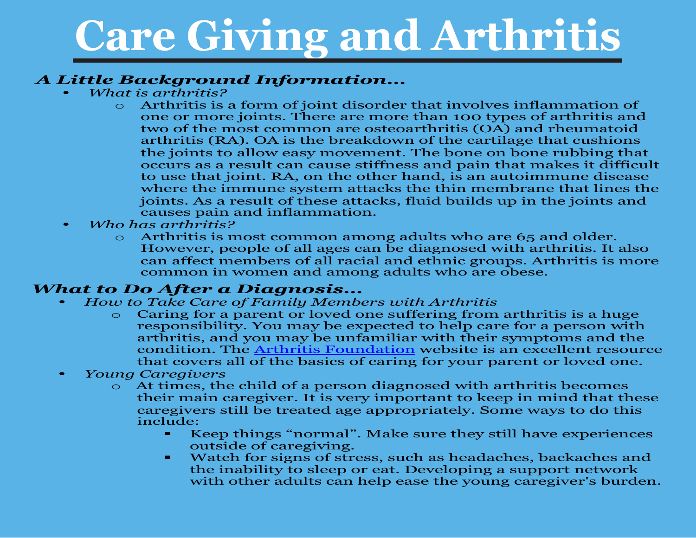#### *A Little Background Information…*

- *What is arthritis?* 
	- Arthritis is a form of joint disorder that involves inflammation of one or more joints. There are more than 100 types of arthritis and two of the most common are osteoarthritis (OA) and rheumatoid arthritis (RA). OA is the breakdown of the cartilage that cushions the joints to allow easy movement. The bone on bone rubbing that occurs as a result can cause stiffness and pain that makes it difficult to use that joint. RA, on the other hand, is an autoimmune disease where the immune system attacks the thin membrane that lines the joints. As a result of these attacks, fluid builds up in the joints and causes pain and inflammation.
- *Who has arthritis?*
	- $\circ$  Arthritis is most common among adults who are 65 and older. However, people of all ages can be diagnosed with arthritis. It also can affect members of all racial and ethnic groups. Arthritis is more common in women and among adults who are obese.

#### *What to Do After a Diagnosis…*

- *How to Take Care of Family Members with Arthritis* 
	- $\circ$  Caring for a parent or loved one suffering from arthritis is a huge responsibility. You may be expected to help care for a person with arthritis, and you may be unfamiliar with their symptoms and the condition. The [Arthritis Foundation](http://www.arthritis.org/caregiving/) website is an excellent resource that covers all of the basics of caring for your parent or loved one.
- *Young Caregivers*
	- o At times, the child of a person diagnosed with arthritis becomes their main caregiver. It is very important to keep in mind that these caregivers still be treated age appropriately. Some ways to do this include:
		- Keep things "normal". Make sure they still have experiences outside of caregiving.
		- **Watch for signs of stress, such as headaches, backaches and** the inability to sleep or eat. Developing a support network with other adults can help ease the young caregiver's burden.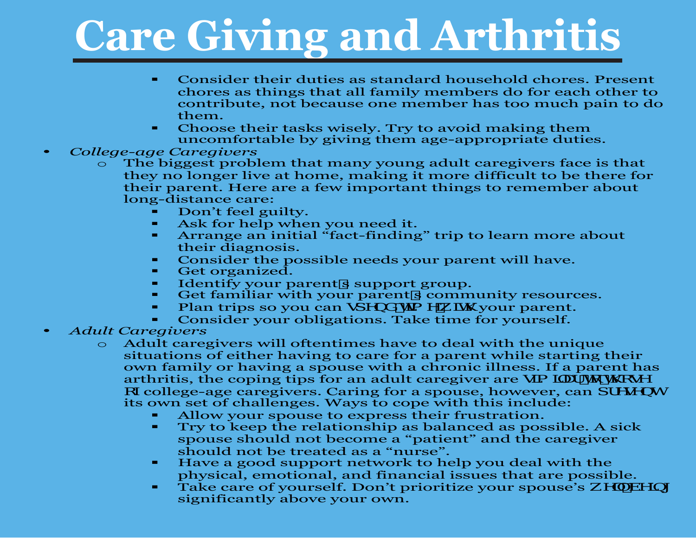- Consider their duties as standard household chores. Present chores as things that all family members do for each other to contribute, not because one member has too much pain to do them.
- Choose their tasks wisely. Try to avoid making them uncomfortable by giving them age-appropriate duties.
- *College-age Caregivers* 
	- The biggest problem that many young adult caregivers face is that they no longer live at home, making it more difficult to be there for their parent. Here are a few important things to remember about long-distance care:
		- Don't feel guilty.<br>■ Ask for help whe
		- Ask for help when you need it.
		- **EXTERN** Arrange an initial "fact-finding" trip to learn more about their diagnosis.
		- Consider the possible needs your parent will have.<br>• Get organized
		- Get organized.
		- Get organized:<br>• Identify your parent**s** support group.
		- Tuentry your parents support group.<br>• Get familiar with your parents community resources. Get familiar with your parent**s** community resourd **Plan trips so you can gdYbXHa Yk |I)** your parent.
		-
		- Consider your obligations. Take time for yourself.
- *Adult Caregivers*
	- o Adult caregivers will oftentimes have to deal with the unique situations of either having to care for a parent while starting their own family or having a spouse with a chronic illness. If a parent has arthritis, the coping tips for an adult caregiver are gall  $U$  to  $\hbar$   $C\Delta V$ cZcollege-age caregivers. Caring for a spouse, however, can dfYgYbh its own set of challenges. Ways to cope with this include:
		- Allow your spouse to express their frustration.<br>• Try to keep the relationship as balanced as pos
		- Try to keep the relationship as balanced as possible. A sick spouse should not become a "patient" and the caregiver should not be treated as a "nurse".
		- Have a good support network to help you deal with the physical, emotional, and financial issues that are possible.
		- Take care of yourself. Don't prioritize your spouse's  $kY'$ ! Wh significantly above your own.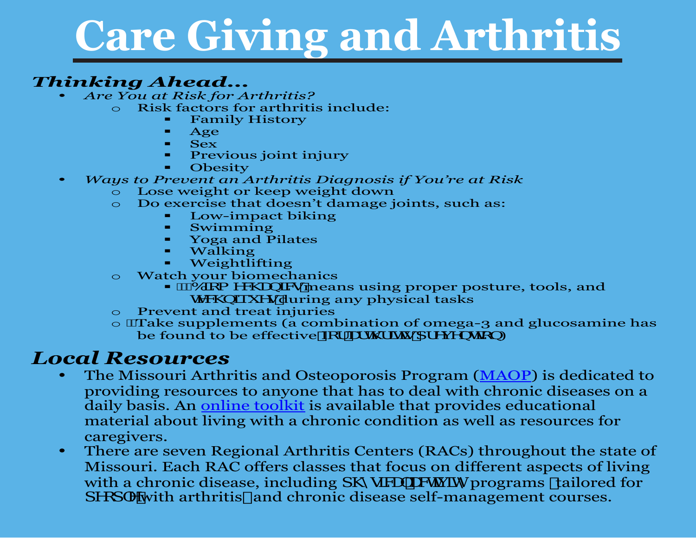#### *Thinking Ahead…* • *Are You at Risk for Arthritis?*

- - Risk factors for arthritis include:<br>Family History
		- Family History
		- $\blacksquare$  Age
		- $-$  Sex
		- **Previous joint injury**
		- **-** Obesity
- *Ways to Prevent an Arthritis Diagnosis if You're at Risk*
	- Lose weight or keep weight down
	- Do exercise that doesn't damage joints, such as:
		- Low-impact biking<br>• Swimming
		- Swimming
		- Yoga and Pilates
		- Walking
		- Weightlifting
	- o Watch your biomechanics
		- $\mathbf{A}\mathbf{W}$   $\mathbf{A}\mathbf{W}$   $\mathbf{B}$   $\mathbf{W}$   $\mathbf{W}$   $\mathbf{W}$   $\mathbf{B}$   $\mathbf{B}$   $\mathbf{B}$   $\mathbf{B}$   $\mathbf{B}$   $\mathbf{B}$   $\mathbf{B}$   $\mathbf{B}$   $\mathbf{B}$   $\mathbf{B}$   $\mathbf{B}$   $\mathbf{B}$   $\mathbf{B}$   $\mathbf{B}$   $\mathbf{B}$   $\mathbf{B}$   $\mathbf{B}$   $\mathbf$ **HWblei Ygduring any physical tasks**
	- **Prevent and treat injuries**
	- $\circ$   $\hat{A}$  ake supplements (a combination of omega-3 and glucosamine has be found to be effective  $\mathbf{Z}f$  URK  $\mathbf{H}g$ df Y Mohcb)

#### *Local Resources*

- The Missouri Arthritis and Osteoporosis Program [\(MAOP\)](http://www.moarthritis.org/) is dedicated to providing resources to anyone that has to deal with chronic diseases on a daily basis. An [online toolkit](http://moarthritis.typepad.com/selfmanagement_toolkit/) is available that provides educational material about living with a chronic condition as well as resources for caregivers.
- There are seven Regional Arthritis Centers (RACs) throughout the state of Missouri. Each RAC offers classes that focus on different aspects of living with a chronic disease, including  $\mathbf{d} \cdot \mathbf{p}$  W UM programs flailored for dYcd Ywith arthritis Land chronic disease self-management courses.